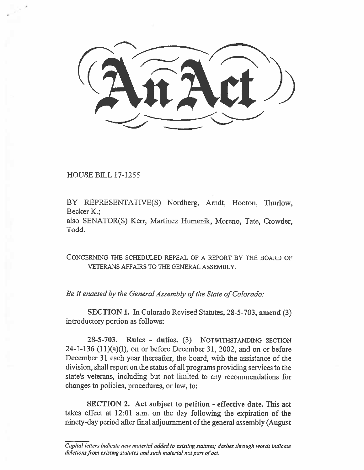$\mathcal{A}$ n $\mathcal{A}$ rt $\mathcal{A}$  $\frac{1}{2}$ 

HOUSE BILL 17-1255

BY REPRESENTATIVE(S) Nordberg, Arndt, Hooton, Thurlow, Becker K.;

also SENATOR(S) Kerr, Martinez Humenik, Moreno, Tate, Crowder, Todd.

CONCERNING THE SCHEDULED REPEAL OF A REPORT BY THE BOARD OF VETERANS AFFAIRS TO THE GENERAL ASSEMBLY.

*Be it enacted by the General Assembly of the State of Colorado:* 

SECTION I. In Colorado Revised Statutes, 28-5-703, amend (3) introductory portion as follows:

28-5-703. Rules - duties. (3) NOTWITHSTANDING SECTION  $24-1-136$   $(11)(a)(I)$ , on or before December 31, 2002, and on or before December 31 each year thereafter, the board, with the assistance of the division, shall report on the status of all programs providing services to the state's veterans, including but not limited to any recommendations for changes to policies, procedures, or law, to:

SECTION 2. Act subject to petition - effective date. This act takes effect at 12:01 a.m. on the day following the expiration of the ninety-day period after final adjournment of the general assembly (August

*Capital letters indicate new material added to existing statutes; dashes through words indicate deletions from existing statutes and such material not part of act.*